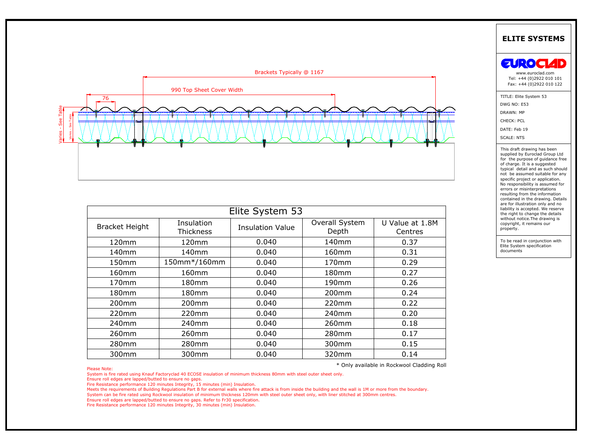

|                       |                           |                           |                |                 | <b>ELITE SYSTEMS</b>                                                                                                                                                                                                                                                                                                                                                                                                           |
|-----------------------|---------------------------|---------------------------|----------------|-----------------|--------------------------------------------------------------------------------------------------------------------------------------------------------------------------------------------------------------------------------------------------------------------------------------------------------------------------------------------------------------------------------------------------------------------------------|
|                       |                           | Brackets Typically @ 1167 |                |                 | EUROC<br>www.euroclad.com<br>Tel: +44 (0)2922 010 101<br>Fax: +44 (0)2922 010 122                                                                                                                                                                                                                                                                                                                                              |
| 76                    | 990 Top Sheet Cover Width |                           |                |                 | TITLE: Elite System 53<br>DWG NO: E53<br>DRAWN: MP<br>CHECK: PCL<br>DATE: Feb 19<br>SCALE: NTS                                                                                                                                                                                                                                                                                                                                 |
|                       |                           |                           |                |                 | This draft drawing has been<br>supplied by Euroclad Group Ltd<br>for the purpose of quidance free<br>of charge. It is a suggested                                                                                                                                                                                                                                                                                              |
|                       | Insulation                | Elite System 53           | Overall System | U Value at 1.8M | typical detail and as such should<br>not be assumed suitable for any<br>specific project or application.<br>No responsibility is assumed for<br>errors or misinterpretations<br>resulting from the information<br>contained in the drawing. Details<br>are for illustration only and no<br>liability is accepted. We reserve<br>the right to change the details<br>without notice. The drawing is<br>copyright, it remains our |
| <b>Bracket Height</b> | Thickness                 | <b>Insulation Value</b>   | Depth          | Centres         | property.                                                                                                                                                                                                                                                                                                                                                                                                                      |
| 120mm                 | 120mm                     | 0.040                     | 140mm          | 0.37            | To be read in conjunction with<br>Elite System specification                                                                                                                                                                                                                                                                                                                                                                   |
| 140mm                 | 140mm                     | 0.040                     | 160mm          | 0.31            | documents                                                                                                                                                                                                                                                                                                                                                                                                                      |
| 150mm                 | 150mm*/160mm              | 0.040                     | 170mm          | 0.29            |                                                                                                                                                                                                                                                                                                                                                                                                                                |
| 160mm                 | <b>160mm</b>              | 0.040                     | 180mm          | 0.27            |                                                                                                                                                                                                                                                                                                                                                                                                                                |
| 170mm                 | <b>180mm</b>              | 0.040                     | 190mm          | 0.26            |                                                                                                                                                                                                                                                                                                                                                                                                                                |
| 180mm                 | 180mm                     | 0.040                     | 200mm          | 0.24            |                                                                                                                                                                                                                                                                                                                                                                                                                                |
| 200mm                 | 200mm                     | 0.040                     | 220mm          | 0.22            |                                                                                                                                                                                                                                                                                                                                                                                                                                |
| 220mm                 | 220mm                     | 0.040                     | 240mm          | 0.20            |                                                                                                                                                                                                                                                                                                                                                                                                                                |
| 240mm                 | 240mm                     | 0.040                     | 260mm          | 0.18            |                                                                                                                                                                                                                                                                                                                                                                                                                                |
| 260mm                 | 260mm                     | 0.040                     | 280mm          | 0.17            |                                                                                                                                                                                                                                                                                                                                                                                                                                |
| 280mm<br>300mm        | 280mm<br>300mm            | 0.040<br>0.040            | 300mm<br>320mm | 0.15<br>0.14    |                                                                                                                                                                                                                                                                                                                                                                                                                                |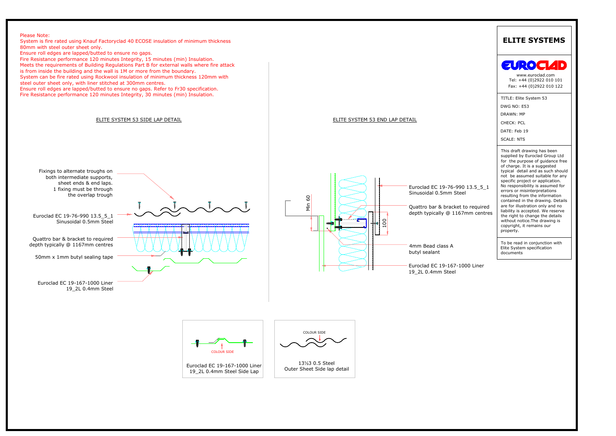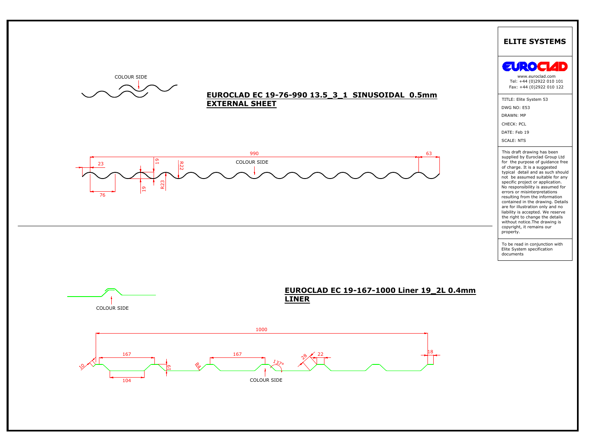







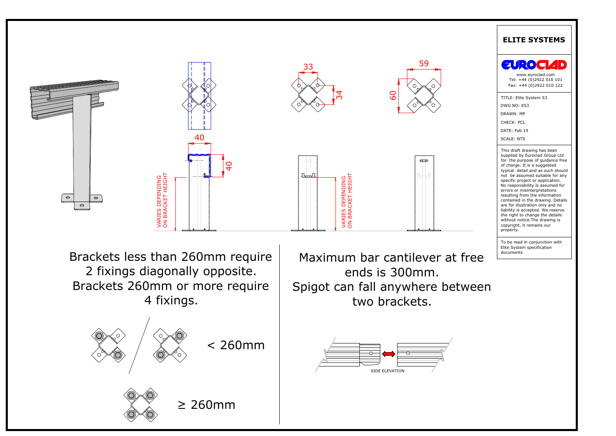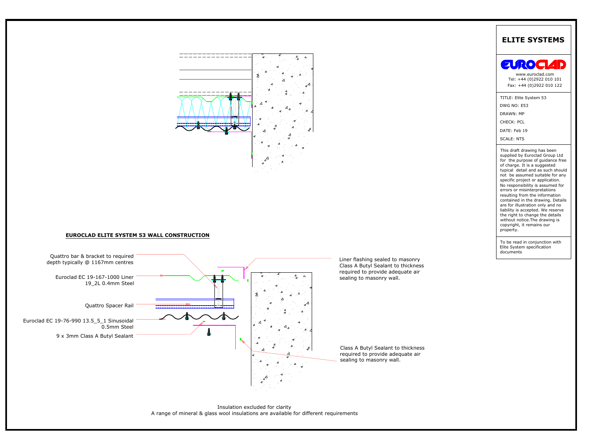



Insulation excluded for clarity<br>A range of mineral & glass wool insulations are available for different requirements

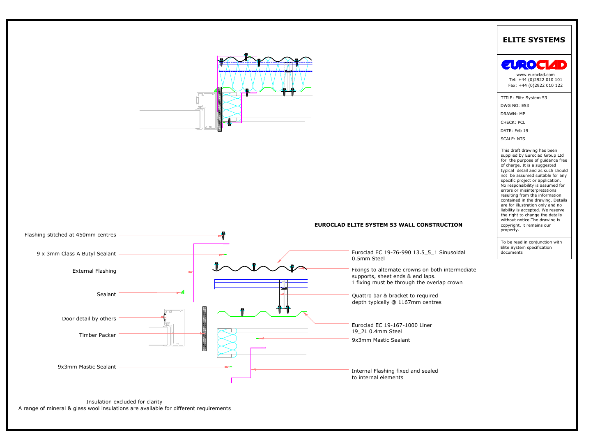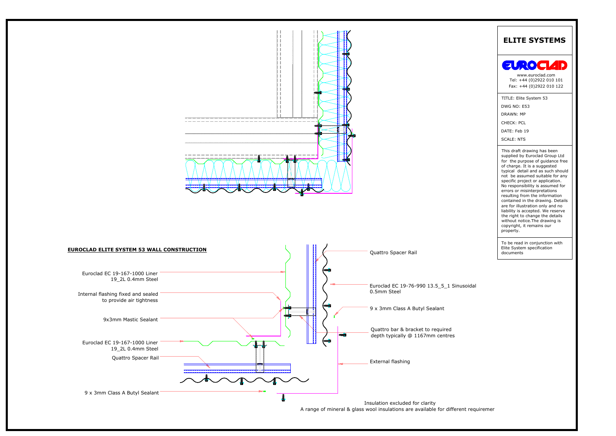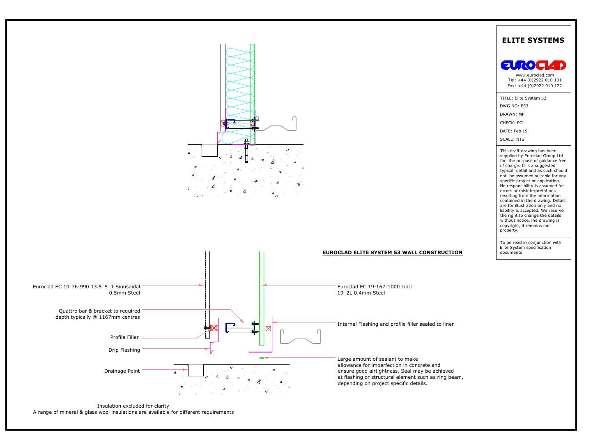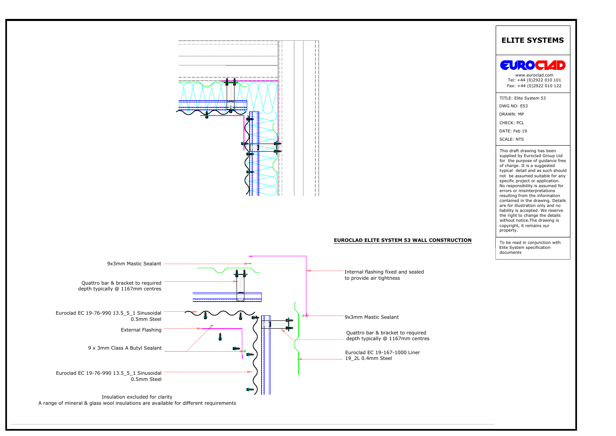

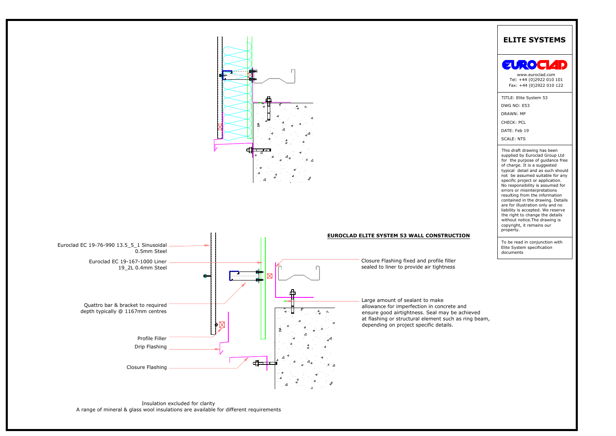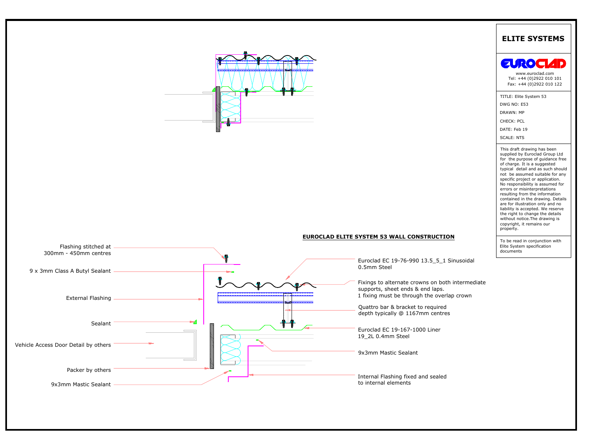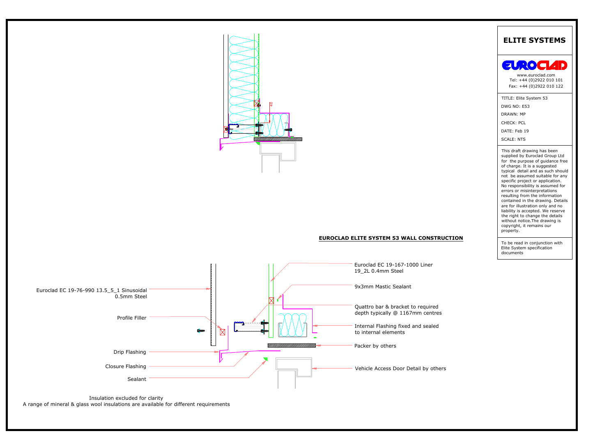

# **EUROCLAD ELITE SYSTEM 53 WALL CONSTRUCTION**



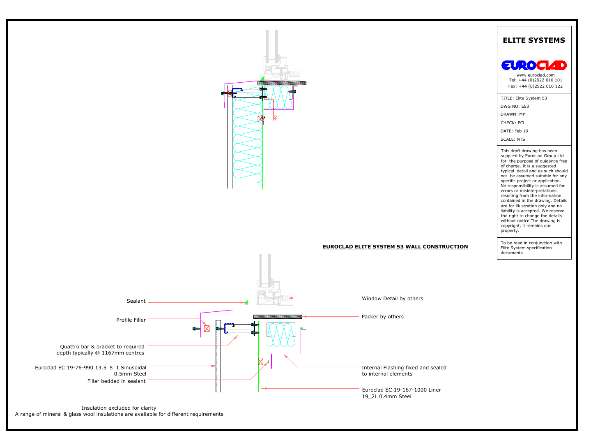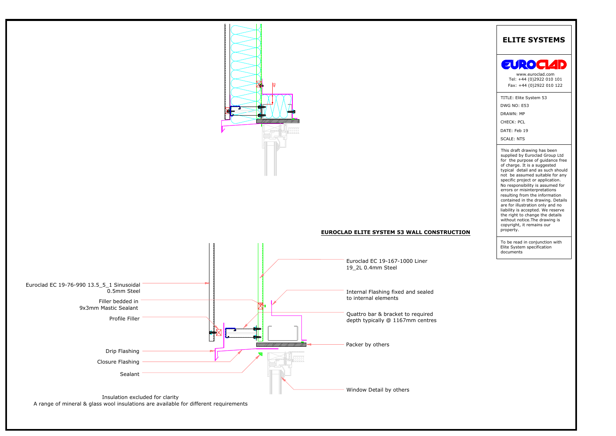

# **EUROCLAD ELITE SYSTEM 53 WALL CONSTRUCTION**



A range of mineral & glass wool insulations are available for different requirements